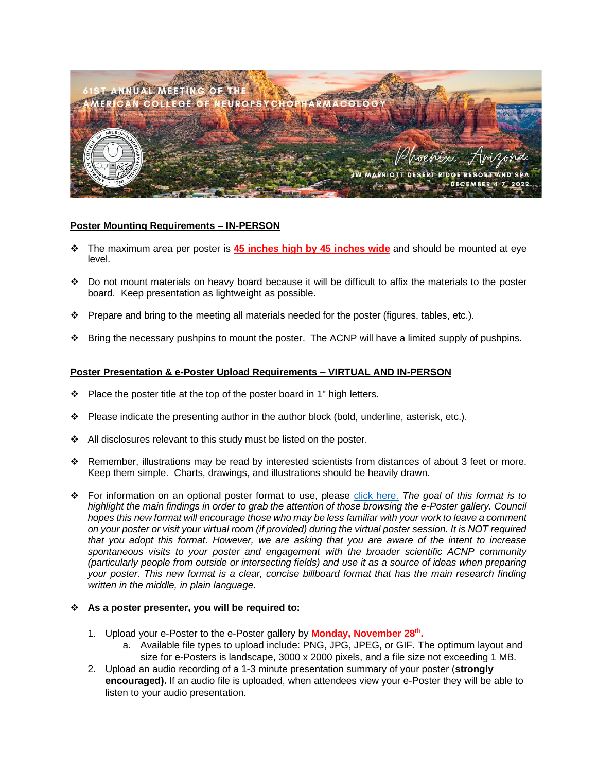

## **Poster Mounting Requirements – IN-PERSON**

- ❖ The maximum area per poster is **45 inches high by 45 inches wide** and should be mounted at eye level.
- ❖ Do not mount materials on heavy board because it will be difficult to affix the materials to the poster board. Keep presentation as lightweight as possible.
- ❖ Prepare and bring to the meeting all materials needed for the poster (figures, tables, etc.).
- ❖ Bring the necessary pushpins to mount the poster. The ACNP will have a limited supply of pushpins.

## **Poster Presentation & e-Poster Upload Requirements – VIRTUAL AND IN-PERSON**

- ❖ Place the poster title at the top of the poster board in 1" high letters.
- ❖ Please indicate the presenting author in the author block (bold, underline, asterisk, etc.).
- ❖ All disclosures relevant to this study must be listed on the poster.
- ❖ Remember, illustrations may be read by interested scientists from distances of about 3 feet or more. Keep them simple. Charts, drawings, and illustrations should be heavily drawn.
- ❖ For information on an optional poster format to use, please [click here.](https://osf.io/8ajqs/) *The goal of this format is to highlight the main findings in order to grab the attention of those browsing the e-Poster gallery. Council hopes this new format will encourage those who may be less familiar with your work to leave a comment on your poster or visit your virtual room (if provided) during the virtual poster session. It is NOT required that you adopt this format. However, we are asking that you are aware of the intent to increase spontaneous visits to your poster and engagement with the broader scientific ACNP community (particularly people from outside or intersecting fields) and use it as a source of ideas when preparing your poster. This new format is a clear, concise billboard format that has the main research finding written in the middle, in plain language.*

## ❖ **As a poster presenter, you will be required to:**

- 1. Upload your e-Poster to the e-Poster gallery by **Monday, November 28 th .**
	- a. Available file types to upload include: PNG, JPG, JPEG, or GIF. The optimum layout and size for e-Posters is landscape, 3000 x 2000 pixels, and a file size not exceeding 1 MB.
- 2. Upload an audio recording of a 1-3 minute presentation summary of your poster (**strongly encouraged).** If an audio file is uploaded, when attendees view your e-Poster they will be able to listen to your audio presentation.